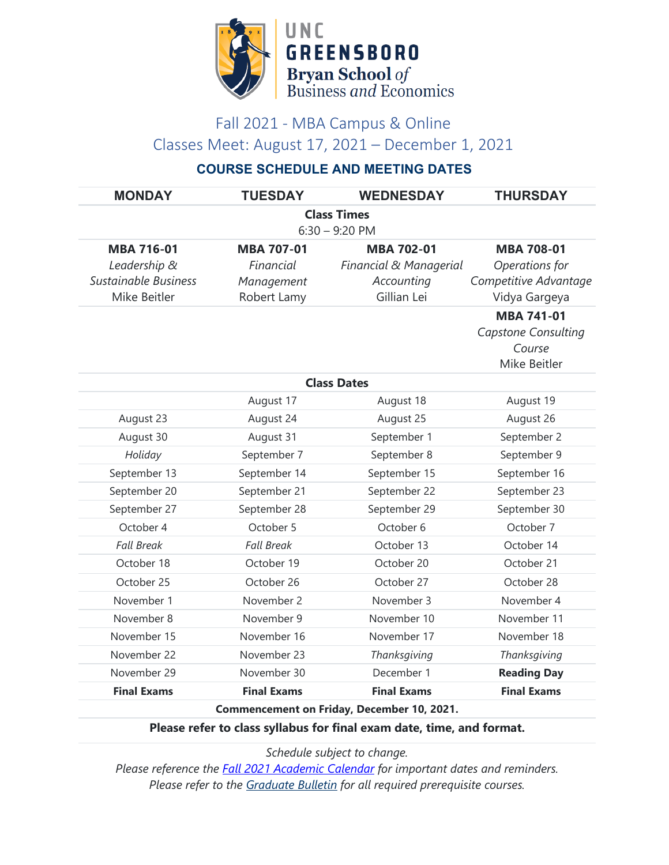

## Fall 2021 - MBA Campus & Online Classes Meet: August 17, 2021 – December 1, 2021

## **COURSE SCHEDULE AND MEETING DATES**

| <b>MONDAY</b>                                                         | <b>TUESDAY</b>     | <b>WEDNESDAY</b>       | <b>THURSDAY</b>            |  |
|-----------------------------------------------------------------------|--------------------|------------------------|----------------------------|--|
| <b>Class Times</b><br>$6:30 - 9:20$ PM                                |                    |                        |                            |  |
| <b>MBA 716-01</b>                                                     | <b>MBA 707-01</b>  | <b>MBA 702-01</b>      | <b>MBA 708-01</b>          |  |
| Leadership &                                                          | Financial          | Financial & Managerial | Operations for             |  |
| <b>Sustainable Business</b>                                           | Management         | Accounting             | Competitive Advantage      |  |
| Mike Beitler                                                          | Robert Lamy        | Gillian Lei            | Vidya Gargeya              |  |
|                                                                       |                    |                        | <b>MBA 741-01</b>          |  |
|                                                                       |                    |                        | <b>Capstone Consulting</b> |  |
|                                                                       |                    |                        | Course                     |  |
|                                                                       |                    |                        | Mike Beitler               |  |
| <b>Class Dates</b>                                                    |                    |                        |                            |  |
|                                                                       | August 17          | August 18              | August 19                  |  |
| August 23                                                             | August 24          | August 25              | August 26                  |  |
| August 30                                                             | August 31          | September 1            | September 2                |  |
| Holiday                                                               | September 7        | September 8            | September 9                |  |
| September 13                                                          | September 14       | September 15           | September 16               |  |
| September 20                                                          | September 21       | September 22           | September 23               |  |
| September 27                                                          | September 28       | September 29           | September 30               |  |
| October 4                                                             | October 5          | October 6              | October 7                  |  |
| <b>Fall Break</b>                                                     | <b>Fall Break</b>  | October 13             | October 14                 |  |
| October 18                                                            | October 19         | October 20             | October 21                 |  |
| October 25                                                            | October 26         | October 27             | October 28                 |  |
| November 1                                                            | November 2         | November 3             | November 4                 |  |
| November 8                                                            | November 9         | November 10            | November 11                |  |
| November 15                                                           | November 16        | November 17            | November 18                |  |
| November 22                                                           | November 23        | Thanksgiving           | Thanksgiving               |  |
| November 29                                                           | November 30        | December 1             | <b>Reading Day</b>         |  |
| <b>Final Exams</b>                                                    | <b>Final Exams</b> | <b>Final Exams</b>     | <b>Final Exams</b>         |  |
| Commencement on Friday, December 10, 2021.                            |                    |                        |                            |  |
| Please refer to class syllabus for final exam date, time, and format. |                    |                        |                            |  |

*Schedule subject to change.*

*Please reference the [Fall 2021 Academic Calendar](https://reg.uncg.edu/calendars/fall-2021-academic-calendar/) for important dates and reminders. Please refer to the [Graduate Bulletin](https://grs.uncg.edu/graduatebulletin/) for all required prerequisite courses.*